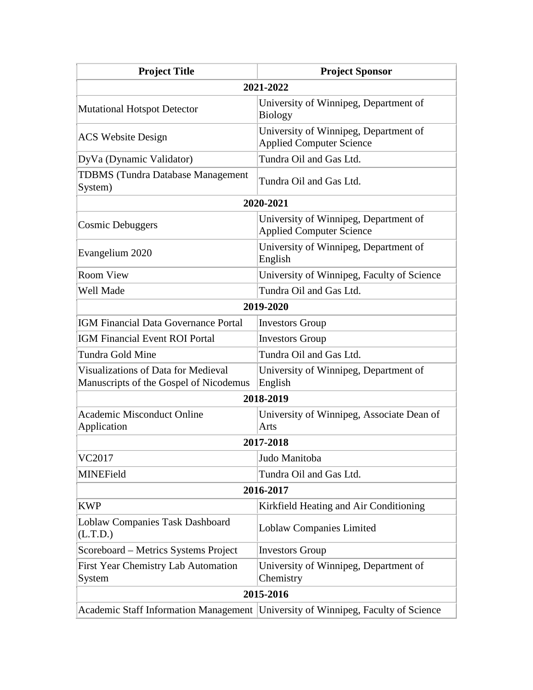| <b>Project Title</b>                                                          | <b>Project Sponsor</b>                                                   |  |
|-------------------------------------------------------------------------------|--------------------------------------------------------------------------|--|
|                                                                               | 2021-2022                                                                |  |
| <b>Mutational Hotspot Detector</b>                                            | University of Winnipeg, Department of<br><b>Biology</b>                  |  |
| <b>ACS</b> Website Design                                                     | University of Winnipeg, Department of<br><b>Applied Computer Science</b> |  |
| DyVa (Dynamic Validator)                                                      | Tundra Oil and Gas Ltd.                                                  |  |
| <b>TDBMS</b> (Tundra Database Management<br>System)                           | Tundra Oil and Gas Ltd.                                                  |  |
| 2020-2021                                                                     |                                                                          |  |
| <b>Cosmic Debuggers</b>                                                       | University of Winnipeg, Department of<br><b>Applied Computer Science</b> |  |
| Evangelium 2020                                                               | University of Winnipeg, Department of<br>English                         |  |
| <b>Room View</b>                                                              | University of Winnipeg, Faculty of Science                               |  |
| Well Made                                                                     | Tundra Oil and Gas Ltd.                                                  |  |
| 2019-2020                                                                     |                                                                          |  |
| IGM Financial Data Governance Portal                                          | <b>Investors Group</b>                                                   |  |
| <b>IGM Financial Event ROI Portal</b>                                         | <b>Investors Group</b>                                                   |  |
| Tundra Gold Mine                                                              | Tundra Oil and Gas Ltd.                                                  |  |
| Visualizations of Data for Medieval<br>Manuscripts of the Gospel of Nicodemus | University of Winnipeg, Department of<br>English                         |  |
|                                                                               | 2018-2019                                                                |  |
| <b>Academic Misconduct Online</b><br>Application                              | University of Winnipeg, Associate Dean of<br>Arts                        |  |
| 2017-2018                                                                     |                                                                          |  |
| VC2017                                                                        | Judo Manitoba                                                            |  |
| MINEField                                                                     | Tundra Oil and Gas Ltd.                                                  |  |
| 2016-2017                                                                     |                                                                          |  |
| <b>KWP</b>                                                                    | Kirkfield Heating and Air Conditioning                                   |  |
| <b>Loblaw Companies Task Dashboard</b><br>(L.T.D.)                            | <b>Loblaw Companies Limited</b>                                          |  |
| Scoreboard – Metrics Systems Project                                          | <b>Investors Group</b>                                                   |  |
| <b>First Year Chemistry Lab Automation</b><br>System                          | University of Winnipeg, Department of<br>Chemistry                       |  |
| 2015-2016                                                                     |                                                                          |  |
| <b>Academic Staff Information Management</b>                                  | University of Winnipeg, Faculty of Science                               |  |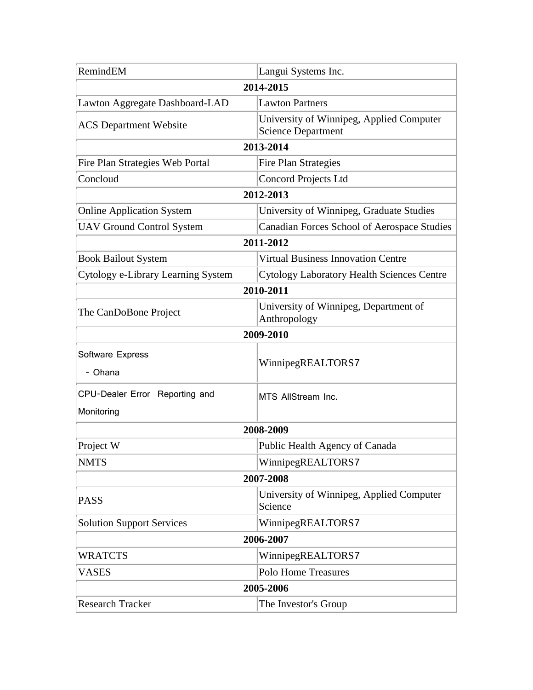| RemindEM                                     | Langui Systems Inc.                                                   |  |
|----------------------------------------------|-----------------------------------------------------------------------|--|
| 2014-2015                                    |                                                                       |  |
| Lawton Aggregate Dashboard-LAD               | <b>Lawton Partners</b>                                                |  |
| <b>ACS</b> Department Website                | University of Winnipeg, Applied Computer<br><b>Science Department</b> |  |
| 2013-2014                                    |                                                                       |  |
| Fire Plan Strategies Web Portal              | <b>Fire Plan Strategies</b>                                           |  |
| Concloud                                     | <b>Concord Projects Ltd</b>                                           |  |
| 2012-2013                                    |                                                                       |  |
| <b>Online Application System</b>             | University of Winnipeg, Graduate Studies                              |  |
| <b>UAV Ground Control System</b>             | Canadian Forces School of Aerospace Studies                           |  |
| 2011-2012                                    |                                                                       |  |
| <b>Book Bailout System</b>                   | <b>Virtual Business Innovation Centre</b>                             |  |
| Cytology e-Library Learning System           | <b>Cytology Laboratory Health Sciences Centre</b>                     |  |
| 2010-2011                                    |                                                                       |  |
| The CanDoBone Project                        | University of Winnipeg, Department of<br>Anthropology                 |  |
|                                              | 2009-2010                                                             |  |
| Software Express<br>- Ohana                  | WinnipegREALTORS7                                                     |  |
| CPU-Dealer Error Reporting and<br>Monitoring | MTS AllStream Inc.                                                    |  |
| 2008-2009                                    |                                                                       |  |
| Project W                                    | Public Health Agency of Canada                                        |  |
| <b>NMTS</b>                                  | WinnipegREALTORS7                                                     |  |
| 2007-2008                                    |                                                                       |  |
| <b>PASS</b>                                  | University of Winnipeg, Applied Computer<br>Science                   |  |
| <b>Solution Support Services</b>             | WinnipegREALTORS7                                                     |  |
| 2006-2007                                    |                                                                       |  |
| <b>WRATCTS</b>                               | WinnipegREALTORS7                                                     |  |
| <b>VASES</b>                                 | <b>Polo Home Treasures</b>                                            |  |
|                                              | 2005-2006                                                             |  |
| <b>Research Tracker</b>                      | The Investor's Group                                                  |  |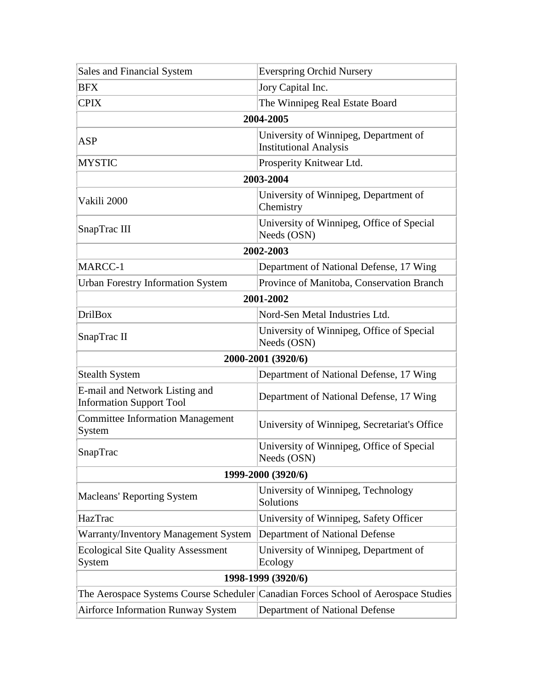| Sales and Financial System                                        | <b>Everspring Orchid Nursery</b>                                                   |  |
|-------------------------------------------------------------------|------------------------------------------------------------------------------------|--|
| <b>BFX</b>                                                        | Jory Capital Inc.                                                                  |  |
| <b>CPIX</b>                                                       | The Winnipeg Real Estate Board                                                     |  |
| 2004-2005                                                         |                                                                                    |  |
| <b>ASP</b>                                                        | University of Winnipeg, Department of<br><b>Institutional Analysis</b>             |  |
| <b>MYSTIC</b>                                                     | Prosperity Knitwear Ltd.                                                           |  |
| 2003-2004                                                         |                                                                                    |  |
| Vakili 2000                                                       | University of Winnipeg, Department of<br>Chemistry                                 |  |
| SnapTrac III                                                      | University of Winnipeg, Office of Special<br>Needs (OSN)                           |  |
| 2002-2003                                                         |                                                                                    |  |
| MARCC-1                                                           | Department of National Defense, 17 Wing                                            |  |
| <b>Urban Forestry Information System</b>                          | Province of Manitoba, Conservation Branch                                          |  |
| 2001-2002                                                         |                                                                                    |  |
| <b>DrilBox</b>                                                    | Nord-Sen Metal Industries Ltd.                                                     |  |
| SnapTrac II                                                       | University of Winnipeg, Office of Special<br>Needs (OSN)                           |  |
| 2000-2001 (3920/6)                                                |                                                                                    |  |
| <b>Stealth System</b>                                             | Department of National Defense, 17 Wing                                            |  |
| E-mail and Network Listing and<br><b>Information Support Tool</b> | Department of National Defense, 17 Wing                                            |  |
| <b>Committee Information Management</b><br>System                 | University of Winnipeg, Secretariat's Office                                       |  |
| SnapTrac                                                          | University of Winnipeg, Office of Special<br>Needs (OSN)                           |  |
| 1999-2000 (3920/6)                                                |                                                                                    |  |
| <b>Macleans' Reporting System</b>                                 | University of Winnipeg, Technology<br>Solutions                                    |  |
| HazTrac                                                           | University of Winnipeg, Safety Officer                                             |  |
| Warranty/Inventory Management System                              | Department of National Defense                                                     |  |
| <b>Ecological Site Quality Assessment</b><br>System               | University of Winnipeg, Department of<br>Ecology                                   |  |
| 1998-1999 (3920/6)                                                |                                                                                    |  |
|                                                                   | The Aerospace Systems Course Scheduler Canadian Forces School of Aerospace Studies |  |
| <b>Airforce Information Runway System</b>                         | Department of National Defense                                                     |  |